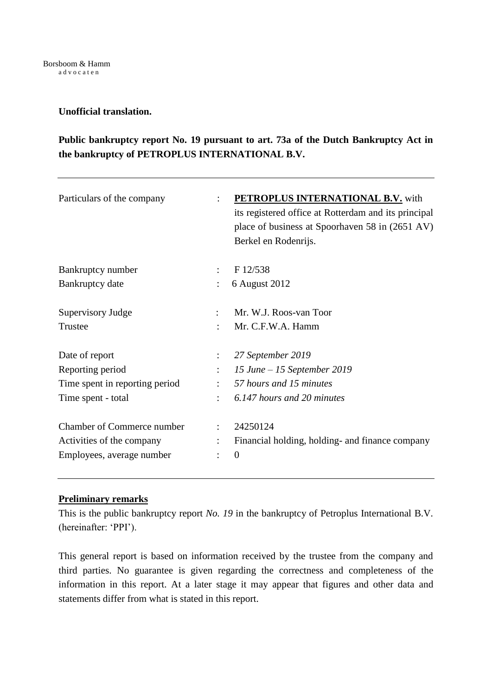# **Unofficial translation.**

# **Public bankruptcy report No. 19 pursuant to art. 73a of the Dutch Bankruptcy Act in the bankruptcy of PETROPLUS INTERNATIONAL B.V.**

| Particulars of the company        | $\bullet$                         | <b>PETROPLUS INTERNATIONAL B.V.</b> with<br>its registered office at Rotterdam and its principal<br>place of business at Spoorhaven 58 in (2651 AV)<br>Berkel en Rodenrijs. |
|-----------------------------------|-----------------------------------|-----------------------------------------------------------------------------------------------------------------------------------------------------------------------------|
| Bankruptcy number                 | $\ddot{\cdot}$                    | F 12/538                                                                                                                                                                    |
| Bankruptcy date                   | ÷                                 | 6 August 2012                                                                                                                                                               |
| Supervisory Judge                 | $\ddot{\cdot}$                    | Mr. W.J. Roos-van Toor                                                                                                                                                      |
| Trustee                           | $\bullet$                         | Mr. C.F.W.A. Hamm                                                                                                                                                           |
| Date of report                    |                                   | 27 September 2019                                                                                                                                                           |
| Reporting period                  |                                   | 15 June $-15$ September 2019                                                                                                                                                |
| Time spent in reporting period    | $\bullet$                         | 57 hours and 15 minutes                                                                                                                                                     |
| Time spent - total                | $\mathbb{R}^2$                    | 6.147 hours and 20 minutes                                                                                                                                                  |
| <b>Chamber of Commerce number</b> |                                   | 24250124                                                                                                                                                                    |
| Activities of the company         | $\ddot{\phantom{a}}$<br>$\bullet$ | Financial holding, holding- and finance company<br>$\theta$                                                                                                                 |
| Employees, average number         |                                   |                                                                                                                                                                             |

# **Preliminary remarks**

This is the public bankruptcy report *No. 19* in the bankruptcy of Petroplus International B.V. (hereinafter: 'PPI').

This general report is based on information received by the trustee from the company and third parties. No guarantee is given regarding the correctness and completeness of the information in this report. At a later stage it may appear that figures and other data and statements differ from what is stated in this report.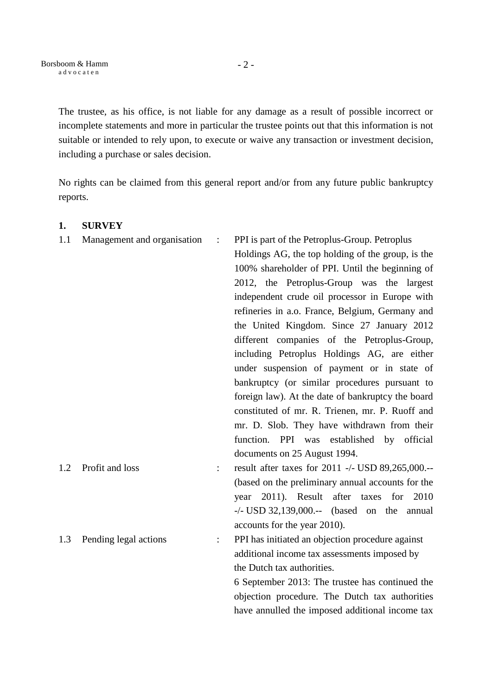- 2 -

The trustee, as his office, is not liable for any damage as a result of possible incorrect or incomplete statements and more in particular the trustee points out that this information is not suitable or intended to rely upon, to execute or waive any transaction or investment decision, including a purchase or sales decision.

No rights can be claimed from this general report and/or from any future public bankruptcy reports.

# 1.1 Management and organisation : PPI is part of the Petroplus-Group. Petroplus Holdings AG, the top holding of the group, is the 100% shareholder of PPI. Until the beginning of 2012, the Petroplus-Group was the largest independent crude oil processor in Europe with refineries in a.o. France, Belgium, Germany and the United Kingdom. Since 27 January 2012 different companies of the Petroplus-Group, including Petroplus Holdings AG, are either under suspension of payment or in state of bankruptcy (or similar procedures pursuant to foreign law). At the date of bankruptcy the board constituted of mr. R. Trienen, mr. P. Ruoff and mr. D. Slob. They have withdrawn from their function. PPI was established by official documents on 25 August 1994. 1.2 Profit and loss : result after taxes for 2011 -/- USD 89.265,000.--(based on the preliminary annual accounts for the year 2011). Result after taxes for 2010 -/- USD 32,139,000.-- (based on the annual accounts for the year 2010). 1.3 Pending legal actions : PPI has initiated an objection procedure against additional income tax assessments imposed by the Dutch tax authorities. 6 September 2013: The trustee has continued the objection procedure. The Dutch tax authorities have annulled the imposed additional income tax

### **1. SURVEY**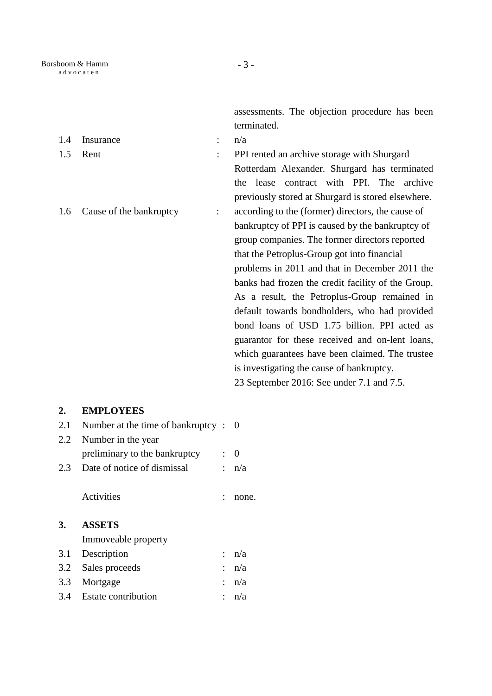assessments. The objection procedure has been terminated.

| 1.4 | Insurance               | $\ddot{\phantom{a}}$ | n/a                                                                                         |
|-----|-------------------------|----------------------|---------------------------------------------------------------------------------------------|
| 1.5 | Rent                    | $\ddot{\cdot}$       | PPI rented an archive storage with Shurgard                                                 |
|     |                         |                      | Rotterdam Alexander. Shurgard has terminated<br>contract with PPI. The archive<br>the lease |
|     |                         |                      | previously stored at Shurgard is stored elsewhere.                                          |
| 1.6 | Cause of the bankruptcy | $\ddot{\phantom{a}}$ | according to the (former) directors, the cause of                                           |
|     |                         |                      | bankruptcy of PPI is caused by the bankruptcy of                                            |
|     |                         |                      | group companies. The former directors reported                                              |
|     |                         |                      | that the Petroplus-Group got into financial                                                 |
|     |                         |                      | problems in 2011 and that in December 2011 the                                              |
|     |                         |                      | banks had frozen the credit facility of the Group.                                          |
|     |                         |                      | As a result, the Petroplus-Group remained in                                                |
|     |                         |                      | default towards bondholders, who had provided                                               |
|     |                         |                      | bond loans of USD 1.75 billion. PPI acted as                                                |
|     |                         |                      | guarantor for these received and on-lent loans,                                             |
|     |                         |                      | which guarantees have been claimed. The trustee                                             |
|     |                         |                      | is investigating the cause of bankruptcy.                                                   |
|     |                         |                      | 23 September 2016: See under 7.1 and 7.5.                                                   |
| 2.  | <b>EMPLOYEES</b>        |                      |                                                                                             |

# 2.1 Number at the time of bankruptcy : 0 2.2 Number in the year preliminary to the bankruptcy : 0 2.3 Date of notice of dismissal :  $n/a$

Activities : none.

# **3. ASSETS**

Immoveable property

| 3.1 Description         | $: \mathbf{n}/\mathbf{a}$ |
|-------------------------|---------------------------|
| 3.2 Sales proceeds      | $: \mathbf{n}/\mathbf{a}$ |
| 3.3 Mortgage            | $: \mathbf{n}/\mathbf{a}$ |
| 3.4 Estate contribution | : $n/a$                   |
|                         |                           |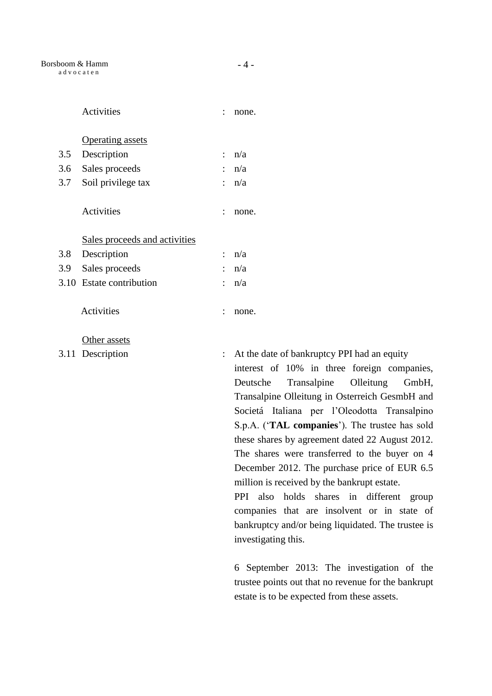|     | Activities                    |                      | none.                                                                                |
|-----|-------------------------------|----------------------|--------------------------------------------------------------------------------------|
|     | <b>Operating assets</b>       |                      |                                                                                      |
| 3.5 | Description                   | $\ddot{\phantom{0}}$ | n/a                                                                                  |
| 3.6 | Sales proceeds                | $\ddot{\phantom{a}}$ | n/a                                                                                  |
| 3.7 | Soil privilege tax            |                      | : n/a                                                                                |
|     | Activities                    |                      | none.                                                                                |
|     | Sales proceeds and activities |                      |                                                                                      |
| 3.8 | Description                   |                      | : $n/a$                                                                              |
| 3.9 | Sales proceeds                |                      | n/a                                                                                  |
|     | 3.10 Estate contribution      | ÷                    | n/a                                                                                  |
|     | <b>Activities</b>             |                      | none.                                                                                |
|     | Other assets                  |                      |                                                                                      |
|     | 3.11 Description              | $\ddot{\phantom{a}}$ | At the date of bankruptcy PPI had an equity<br>interest of 10% in three foreign comp |
|     |                               |                      | Transalpine<br>Olleitung<br>Deutsche<br>G                                            |
|     |                               |                      | Transalpine Olleitung in Osterreich Gesmbl                                           |

est of 10% in three foreign companies, sche Transalpine Olleitung GmbH, salpine Olleitung in Osterreich GesmbH and Societá Italiana per l'Oleodotta Transalpino S.p.A. ('**TAL companies**'). The trustee has sold these shares by agreement dated 22 August 2012. The shares were transferred to the buyer on 4 December 2012. The purchase price of EUR 6.5 million is received by the bankrupt estate.

PPI also holds shares in different group companies that are insolvent or in state of bankruptcy and/or being liquidated. The trustee is investigating this.

6 September 2013: The investigation of the trustee points out that no revenue for the bankrupt estate is to be expected from these assets.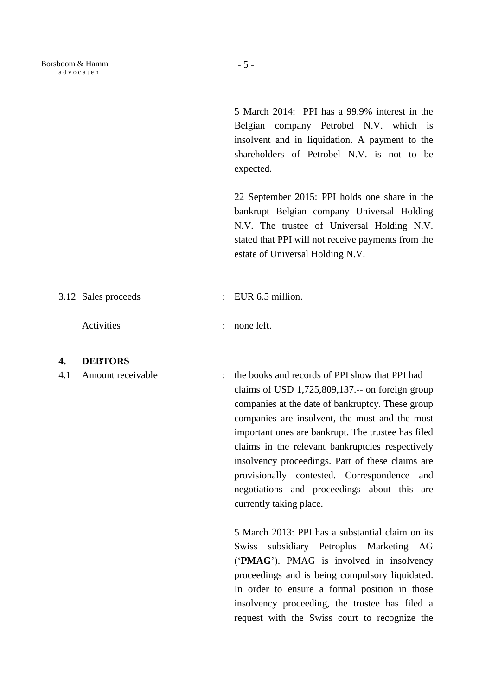5 March 2014: PPI has a 99,9% interest in the Belgian company Petrobel N.V. which is insolvent and in liquidation. A payment to the shareholders of Petrobel N.V. is not to be expected.

22 September 2015: PPI holds one share in the bankrupt Belgian company Universal Holding N.V. The trustee of Universal Holding N.V. stated that PPI will not receive payments from the estate of Universal Holding N.V.

3.12 Sales proceeds : EUR 6.5 million.

Activities : none left.

#### **4. DEBTORS**

4.1 Amount receivable : the books and records of PPI show that PPI had claims of USD 1,725,809,137.-- on foreign group companies at the date of bankruptcy. These group companies are insolvent, the most and the most important ones are bankrupt. The trustee has filed claims in the relevant bankruptcies respectively insolvency proceedings. Part of these claims are provisionally contested. Correspondence and negotiations and proceedings about this are currently taking place.

> 5 March 2013: PPI has a substantial claim on its Swiss subsidiary Petroplus Marketing AG ('**PMAG**'). PMAG is involved in insolvency proceedings and is being compulsory liquidated. In order to ensure a formal position in those insolvency proceeding, the trustee has filed a request with the Swiss court to recognize the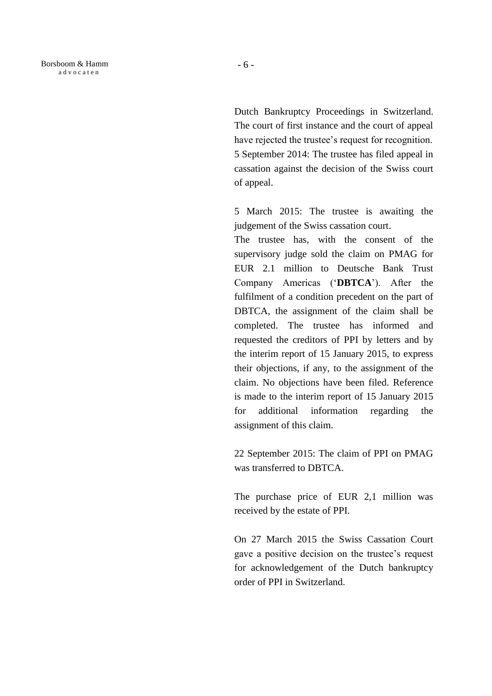Borsboom & Hamm a d v o c a t e n

> Dutch Bankruptcy Proceedings in Switzerland. The court of first instance and the court of appeal have rejected the trustee's request for recognition. 5 September 2014: The trustee has filed appeal in cassation against the decision of the Swiss court of appeal.

> 5 March 2015: The trustee is awaiting the judgement of the Swiss cassation court.

> The trustee has, with the consent of the supervisory judge sold the claim on PMAG for EUR 2.1 million to Deutsche Bank Trust Company Americas ('**DBTCA**'). After the fulfilment of a condition precedent on the part of DBTCA, the assignment of the claim shall be completed. The trustee has informed and requested the creditors of PPI by letters and by the interim report of 15 January 2015, to express their objections, if any, to the assignment of the claim. No objections have been filed. Reference is made to the interim report of 15 January 2015 for additional information regarding the assignment of this claim.

> 22 September 2015: The claim of PPI on PMAG was transferred to DBTCA.

> The purchase price of EUR 2,1 million was received by the estate of PPI.

> On 27 March 2015 the Swiss Cassation Court gave a positive decision on the trustee's request for acknowledgement of the Dutch bankruptcy order of PPI in Switzerland.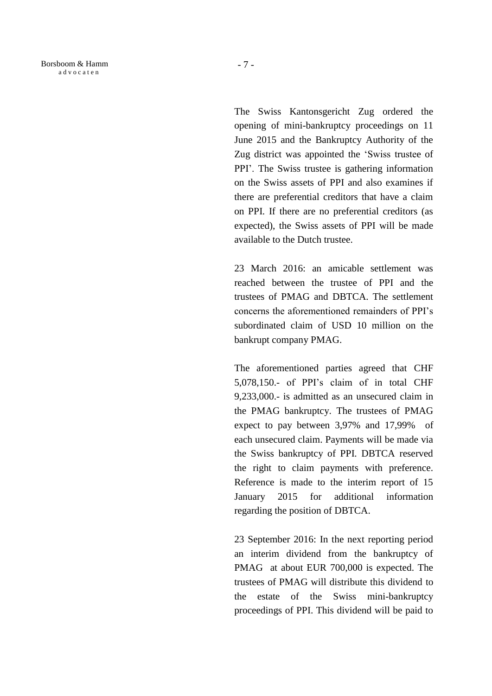The Swiss Kantonsgericht Zug ordered the opening of mini-bankruptcy proceedings on 11 June 2015 and the Bankruptcy Authority of the Zug district was appointed the 'Swiss trustee of PPI'. The Swiss trustee is gathering information on the Swiss assets of PPI and also examines if there are preferential creditors that have a claim on PPI. If there are no preferential creditors (as expected), the Swiss assets of PPI will be made available to the Dutch trustee.

23 March 2016: an amicable settlement was reached between the trustee of PPI and the trustees of PMAG and DBTCA. The settlement concerns the aforementioned remainders of PPI's subordinated claim of USD 10 million on the bankrupt company PMAG.

The aforementioned parties agreed that CHF 5,078,150.- of PPI's claim of in total CHF 9,233,000.- is admitted as an unsecured claim in the PMAG bankruptcy. The trustees of PMAG expect to pay between 3,97% and 17,99% of each unsecured claim. Payments will be made via the Swiss bankruptcy of PPI. DBTCA reserved the right to claim payments with preference. Reference is made to the interim report of 15 January 2015 for additional information regarding the position of DBTCA.

23 September 2016: In the next reporting period an interim dividend from the bankruptcy of PMAG at about EUR 700,000 is expected. The trustees of PMAG will distribute this dividend to the estate of the Swiss mini-bankruptcy proceedings of PPI. This dividend will be paid to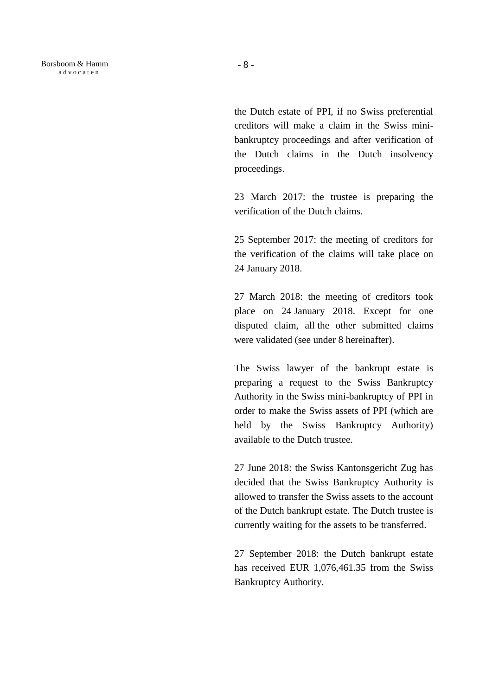Borsboom & Hamm a d v o c a t e n

the Dutch estate of PPI, if no Swiss preferential creditors will make a claim in the Swiss minibankruptcy proceedings and after verification of the Dutch claims in the Dutch insolvency proceedings.

23 March 2017: the trustee is preparing the verification of the Dutch claims.

25 September 2017: the meeting of creditors for the verification of the claims will take place on 24 January 2018.

27 March 2018: the meeting of creditors took place on 24 January 2018. Except for one disputed claim, all the other submitted claims were validated (see under 8 hereinafter).

The Swiss lawyer of the bankrupt estate is preparing a request to the Swiss Bankruptcy Authority in the Swiss mini-bankruptcy of PPI in order to make the Swiss assets of PPI (which are held by the Swiss Bankruptcy Authority) available to the Dutch trustee.

27 June 2018: the Swiss Kantonsgericht Zug has decided that the Swiss Bankruptcy Authority is allowed to transfer the Swiss assets to the account of the Dutch bankrupt estate. The Dutch trustee is currently waiting for the assets to be transferred.

27 September 2018: the Dutch bankrupt estate has received EUR 1,076,461.35 from the Swiss Bankruptcy Authority.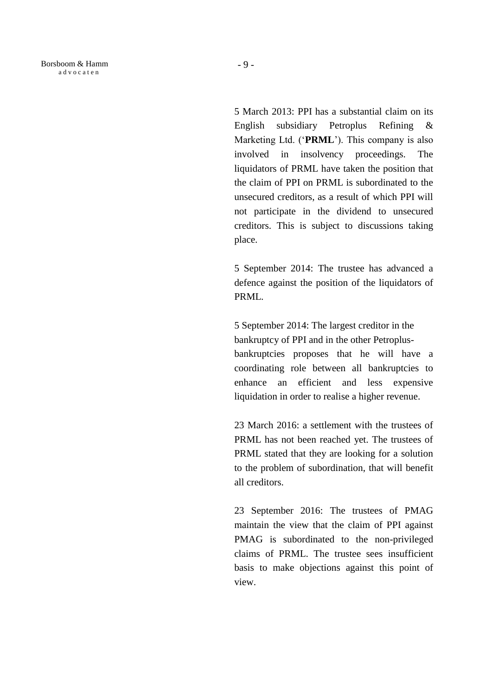Borsboom & Hamm a d v o c a t e n

> 5 March 2013: PPI has a substantial claim on its English subsidiary Petroplus Refining & Marketing Ltd. ('**PRML**'). This company is also involved in insolvency proceedings. The liquidators of PRML have taken the position that the claim of PPI on PRML is subordinated to the unsecured creditors, as a result of which PPI will not participate in the dividend to unsecured creditors. This is subject to discussions taking place.

> 5 September 2014: The trustee has advanced a defence against the position of the liquidators of PRML.

> 5 September 2014: The largest creditor in the bankruptcy of PPI and in the other Petroplusbankruptcies proposes that he will have a coordinating role between all bankruptcies to enhance an efficient and less expensive liquidation in order to realise a higher revenue.

> 23 March 2016: a settlement with the trustees of PRML has not been reached yet. The trustees of PRML stated that they are looking for a solution to the problem of subordination, that will benefit all creditors.

> 23 September 2016: The trustees of PMAG maintain the view that the claim of PPI against PMAG is subordinated to the non-privileged claims of PRML. The trustee sees insufficient basis to make objections against this point of view.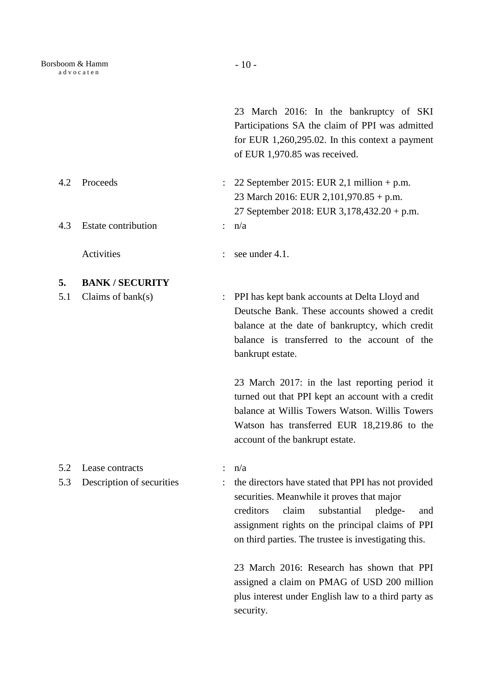23 March 2016: In the bankruptcy of SKI Participations SA the claim of PPI was admitted for EUR 1,260,295.02. In this context a payment of EUR 1,970.85 was received.

- 4.2 Proceeds : 22 September 2015: EUR 2,1 million + p.m. 23 March 2016: EUR 2,101,970.85 + p.m. 27 September 2018: EUR 3,178,432.20 + p.m. 4.3 Estate contribution : n/a
	- Activities : see under 4.1.
- **5. BANK / SECURITY**
- 5.1 Claims of bank(s) : PPI has kept bank accounts at Delta Lloyd and Deutsche Bank. These accounts showed a credit balance at the date of bankruptcy, which credit balance is transferred to the account of the bankrupt estate.

23 March 2017: in the last reporting period it turned out that PPI kept an account with a credit balance at Willis Towers Watson. Willis Towers Watson has transferred EUR 18,219.86 to the account of the bankrupt estate.

- 5.2 Lease contracts : n/a
- 

5.3 Description of securities : the directors have stated that PPI has not provided securities. Meanwhile it proves that major creditors claim substantial pledge- and assignment rights on the principal claims of PPI on third parties. The trustee is investigating this.

> 23 March 2016: Research has shown that PPI assigned a claim on PMAG of USD 200 million plus interest under English law to a third party as security.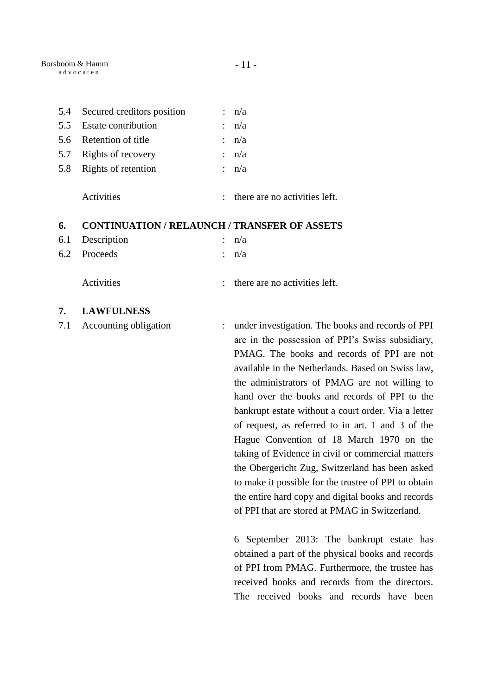| 5.4 | Secured creditors position                          |    | n/a                                                                                                                                                                                                      |
|-----|-----------------------------------------------------|----|----------------------------------------------------------------------------------------------------------------------------------------------------------------------------------------------------------|
| 5.5 | <b>Estate contribution</b>                          |    | n/a                                                                                                                                                                                                      |
| 5.6 | Retention of title                                  |    | n/a                                                                                                                                                                                                      |
| 5.7 | Rights of recovery                                  |    | n/a                                                                                                                                                                                                      |
| 5.8 | Rights of retention                                 |    | : n/a                                                                                                                                                                                                    |
|     | Activities                                          |    | there are no activities left.                                                                                                                                                                            |
| 6.  | <b>CONTINUATION / RELAUNCH / TRANSFER OF ASSETS</b> |    |                                                                                                                                                                                                          |
| 6.1 | Description                                         |    | : $n/a$                                                                                                                                                                                                  |
| 6.2 | Proceeds                                            | ÷. | n/a                                                                                                                                                                                                      |
|     | Activities                                          |    | there are no activities left.                                                                                                                                                                            |
| 7.  | <b>LAWFULNESS</b>                                   |    |                                                                                                                                                                                                          |
| 7.1 | Accounting obligation                               |    | under investigation. The books and records of PPI<br>are in the possession of PPI's Swiss subsidiary,<br>PMAG. The books and records of PPI are not<br>available in the Netherlands. Based on Swiss law, |

ords of PPI are not Based on Swiss law, the administrators of PMAG are not willing to hand over the books and records of PPI to the bankrupt estate without a court order. Via a letter of request, as referred to in art. 1 and 3 of the Hague Convention of 18 March 1970 on the taking of Evidence in civil or commercial matters the Obergericht Zug, Switzerland has been asked to make it possible for the trustee of PPI to obtain the entire hard copy and digital books and records of PPI that are stored at PMAG in Switzerland.

6 September 2013: The bankrupt estate has obtained a part of the physical books and records of PPI from PMAG. Furthermore, the trustee has received books and records from the directors. The received books and records have been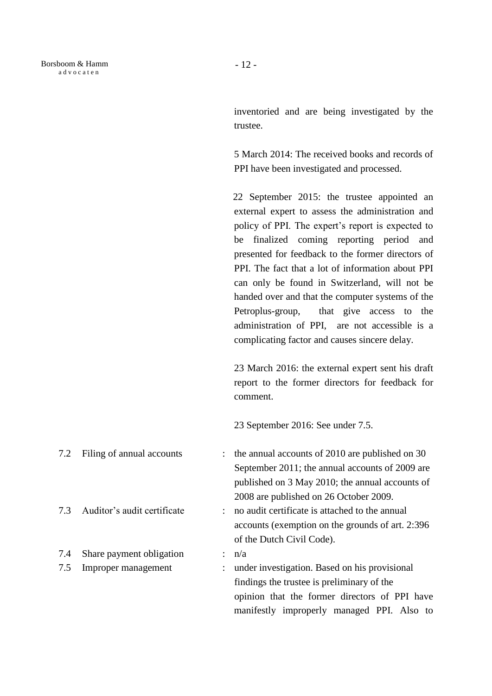inventoried and are being investigated by the trustee.

5 March 2014: The received books and records of PPI have been investigated and processed.

 22 September 2015: the trustee appointed an external expert to assess the administration and policy of PPI. The expert's report is expected to be finalized coming reporting period and presented for feedback to the former directors of PPI. The fact that a lot of information about PPI can only be found in Switzerland, will not be handed over and that the computer systems of the Petroplus-group, that give access to the administration of PPI, are not accessible is a complicating factor and causes sincere delay.

23 March 2016: the external expert sent his draft report to the former directors for feedback for comment.

23 September 2016: See under 7.5.

7.2 Filing of annual accounts : the annual accounts of 2010 are published on 30 September 2011; the annual accounts of 2009 are published on 3 May 2010; the annual accounts of 2008 are published on 26 October 2009. 7.3 Auditor's audit certificate : no audit certificate is attached to the annual accounts (exemption on the grounds of art. 2:396 of the Dutch Civil Code). 7.4 Share payment obligation :  $n/a$ 7.5 Improper management : under investigation. Based on his provisional findings the trustee is preliminary of the

opinion that the former directors of PPI have manifestly improperly managed PPI. Also to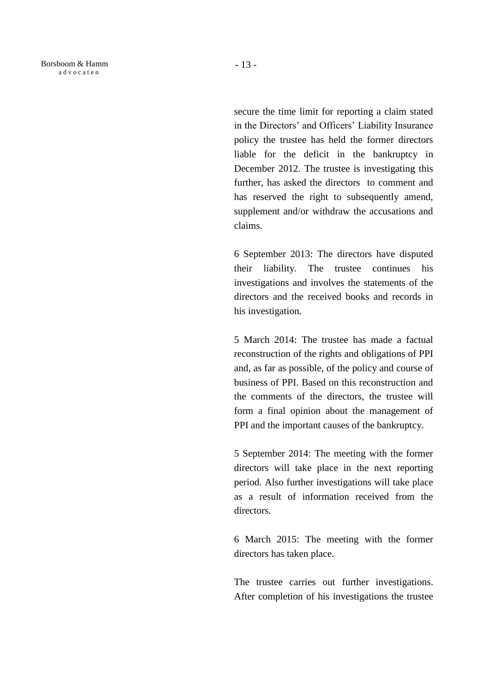secure the time limit for reporting a claim stated in the Directors' and Officers' Liability Insurance policy the trustee has held the former directors liable for the deficit in the bankruptcy in December 2012. The trustee is investigating this further, has asked the directors to comment and has reserved the right to subsequently amend, supplement and/or withdraw the accusations and claims.

6 September 2013: The directors have disputed their liability. The trustee continues his investigations and involves the statements of the directors and the received books and records in his investigation.

5 March 2014: The trustee has made a factual reconstruction of the rights and obligations of PPI and, as far as possible, of the policy and course of business of PPI. Based on this reconstruction and the comments of the directors, the trustee will form a final opinion about the management of PPI and the important causes of the bankruptcy.

5 September 2014: The meeting with the former directors will take place in the next reporting period. Also further investigations will take place as a result of information received from the directors.

6 March 2015: The meeting with the former directors has taken place.

The trustee carries out further investigations. After completion of his investigations the trustee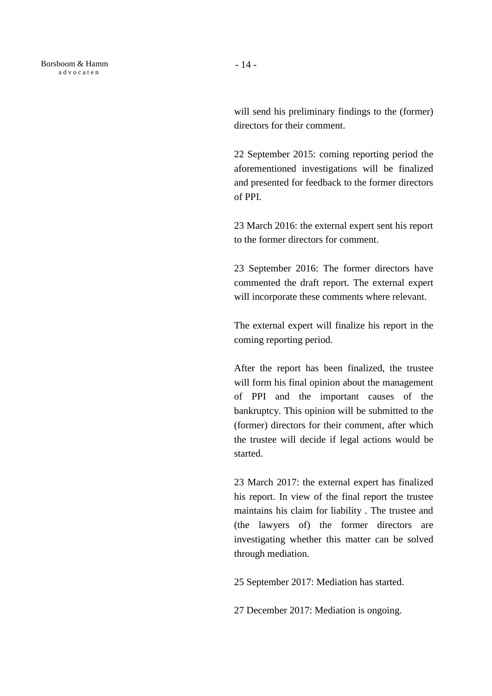will send his preliminary findings to the (former) directors for their comment.

22 September 2015: coming reporting period the aforementioned investigations will be finalized and presented for feedback to the former directors of PPI.

23 March 2016: the external expert sent his report to the former directors for comment.

23 September 2016: The former directors have commented the draft report. The external expert will incorporate these comments where relevant.

The external expert will finalize his report in the coming reporting period.

After the report has been finalized, the trustee will form his final opinion about the management of PPI and the important causes of the bankruptcy. This opinion will be submitted to the (former) directors for their comment, after which the trustee will decide if legal actions would be started.

23 March 2017: the external expert has finalized his report. In view of the final report the trustee maintains his claim for liability . The trustee and (the lawyers of) the former directors are investigating whether this matter can be solved through mediation.

25 September 2017: Mediation has started.

27 December 2017: Mediation is ongoing.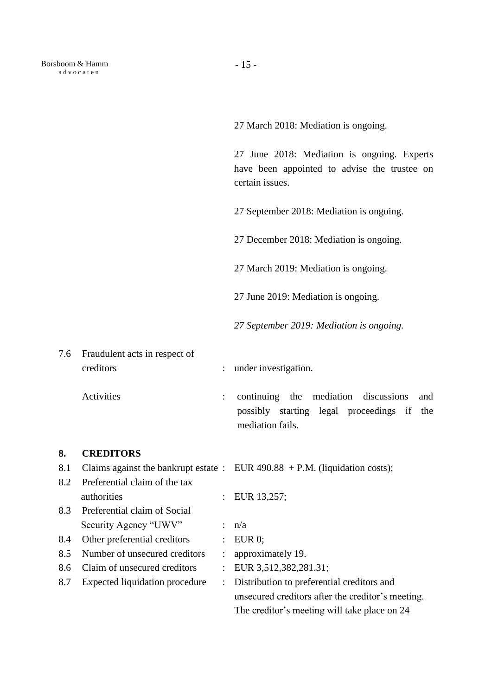27 March 2018: Mediation is ongoing.

27 June 2018: Mediation is ongoing. Experts have been appointed to advise the trustee on certain issues.

27 September 2018: Mediation is ongoing.

27 December 2018: Mediation is ongoing.

27 March 2019: Mediation is ongoing.

27 June 2019: Mediation is ongoing.

*27 September 2019: Mediation is ongoing.*

7.6 Fraudulent acts in respect of creditors : under investigation.

Activities : continuing the mediation discussions and possibly starting legal proceedings if the mediation fails.

# **8. CREDITORS**

| 8.1 |                                | Claims against the bankrupt estate : EUR $490.88 + P.M.$ (liquidation costs); |
|-----|--------------------------------|-------------------------------------------------------------------------------|
| 8.2 | Preferential claim of the tax  |                                                                               |
|     | authorities                    | : EUR $13,257$ ;                                                              |
| 8.3 | Preferential claim of Social   |                                                                               |
|     | Security Agency "UWV"          | : $n/a$                                                                       |
| 8.4 | Other preferential creditors   | $\colon$ EUR 0;                                                               |
| 8.5 | Number of unsecured creditors  | approximately 19.                                                             |
| 8.6 | Claim of unsecured creditors   | : EUR $3,512,382,281.31$ ;                                                    |
| 8.7 | Expected liquidation procedure | : Distribution to preferential creditors and                                  |
|     |                                | unsecured creditors after the creditor's meeting.                             |
|     |                                | The creditor's meeting will take place on 24                                  |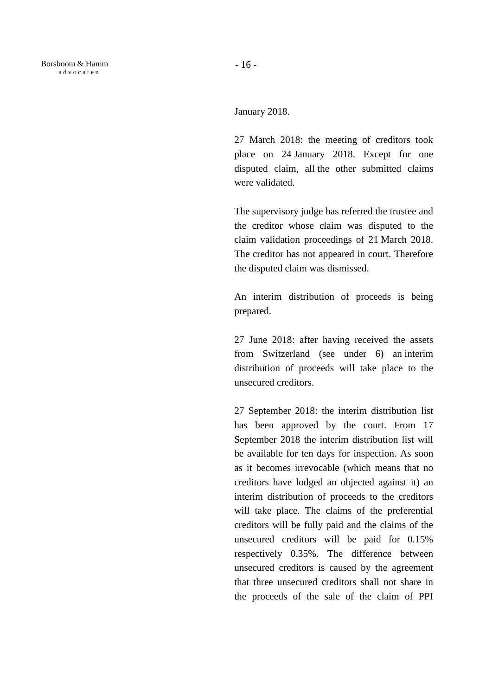January 2018.

27 March 2018: the meeting of creditors took place on 24 January 2018. Except for one disputed claim, all the other submitted claims were validated.

The supervisory judge has referred the trustee and the creditor whose claim was disputed to the claim validation proceedings of 21 March 2018. The creditor has not appeared in court. Therefore the disputed claim was dismissed.

An interim distribution of proceeds is being prepared.

27 June 2018: after having received the assets from Switzerland (see under 6) an interim distribution of proceeds will take place to the unsecured creditors.

27 September 2018: the interim distribution list has been approved by the court. From 17 September 2018 the interim distribution list will be available for ten days for inspection. As soon as it becomes irrevocable (which means that no creditors have lodged an objected against it) an interim distribution of proceeds to the creditors will take place. The claims of the preferential creditors will be fully paid and the claims of the unsecured creditors will be paid for 0.15% respectively 0.35%. The difference between unsecured creditors is caused by the agreement that three unsecured creditors shall not share in the proceeds of the sale of the claim of PPI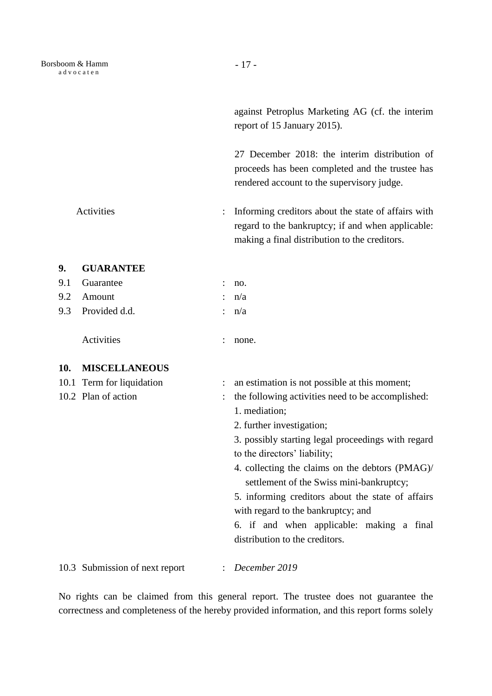against Petroplus Marketing AG (cf. the interim report of 15 January 2015).

27 December 2018: the interim distribution of proceeds has been completed and the trustee has rendered account to the supervisory judge.

Activities : Informing creditors about the state of affairs with regard to the bankruptcy; if and when applicable: making a final distribution to the creditors.

# **9. GUARANTEE**

| 9.1 Guarantee     | : no.   |
|-------------------|---------|
| 9.2 Amount        | : n/a   |
| 9.3 Provided d.d. | : $n/a$ |
|                   |         |

Activities : none.

# **10. MISCELLANEOUS**

| 10.1 Term for liquidation<br>10.2 Plan of action | : an estimation is not possible at this moment;<br>the following activities need to be accomplished:<br>1. mediation;<br>2. further investigation;<br>3. possibly starting legal proceedings with regard<br>to the directors' liability;<br>4. collecting the claims on the debtors (PMAG)/<br>settlement of the Swiss mini-bankruptcy;<br>5. informing creditors about the state of affairs<br>with regard to the bankruptcy; and<br>6. if and when applicable: making a final |
|--------------------------------------------------|---------------------------------------------------------------------------------------------------------------------------------------------------------------------------------------------------------------------------------------------------------------------------------------------------------------------------------------------------------------------------------------------------------------------------------------------------------------------------------|
|                                                  | distribution to the creditors.                                                                                                                                                                                                                                                                                                                                                                                                                                                  |
| 10.3 Submission of next report                   | $\therefore$ December 2019                                                                                                                                                                                                                                                                                                                                                                                                                                                      |

No rights can be claimed from this general report. The trustee does not guarantee the correctness and completeness of the hereby provided information, and this report forms solely